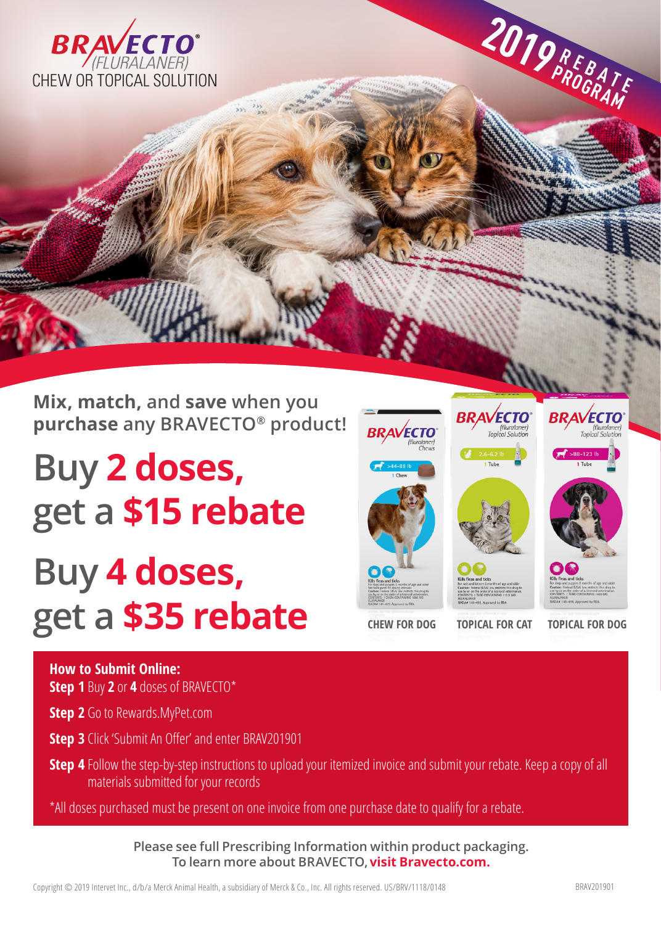

**Mix, match, and save when you purchase any BRAVECTO® product!**

**Buy 2 doses, get a \$15 rebate**

## **Buy 4 doses, get a \$35 rebate**



**How to Submit Online: Step 1** Buy **2** or **4** doses of BRAVECTO\*

**Step 2** Go to Rewards.MyPet.com

**Step 3** Click 'Submit An Offer' and enter BRAV201901

**Step 4** Follow the step-by-step instructions to upload your itemized invoice and submit your rebate. Keep a copy of all materials submitted for your records

\*All doses purchased must be present on one invoice from one purchase date to qualify for a rebate.

**Please see full Prescribing Information within product packaging. To learn more about BRAVECTO,visit Bravecto.com.**

**R E B A T E PROGRAM**